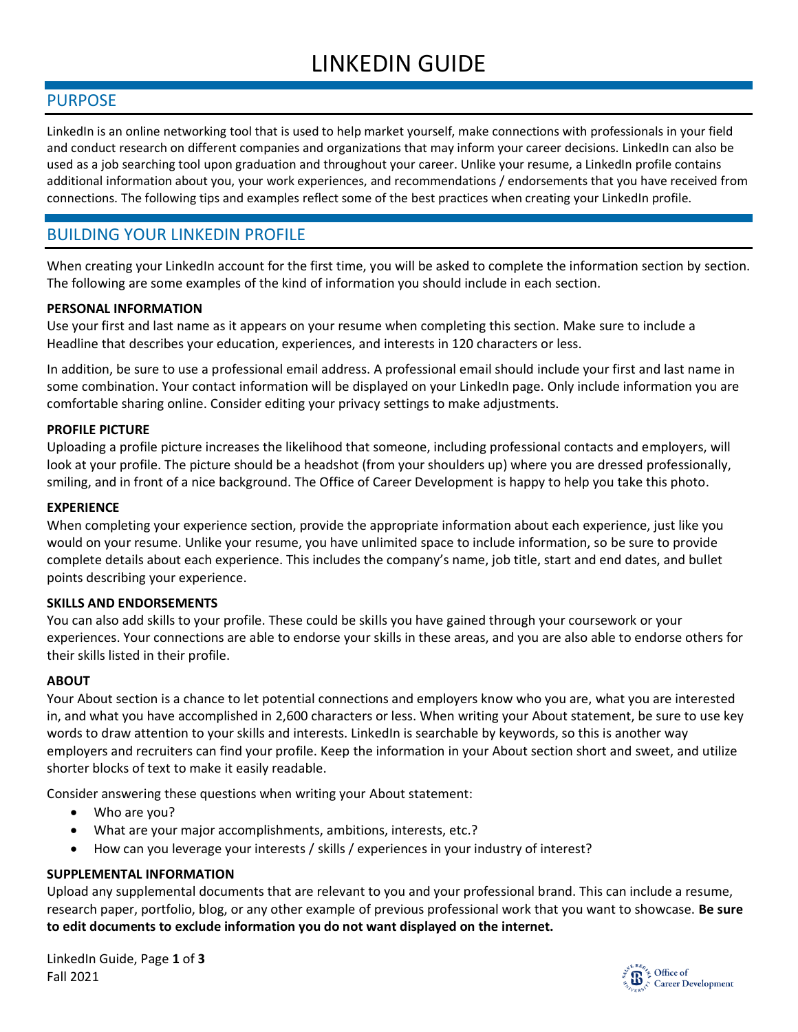# LINKEDIN GUIDE

### PURPOSE

LinkedIn is an online networking tool that is used to help market yourself, make connections with professionals in your field and conduct research on different companies and organizations that may inform your career decisions. LinkedIn can also be used as a job searching tool upon graduation and throughout your career. Unlike your resume, a LinkedIn profile contains additional information about you, your work experiences, and recommendations / endorsements that you have received from connections. The following tips and examples reflect some of the best practices when creating your LinkedIn profile.

# BUILDING YOUR LINKEDIN PROFILE

When creating your LinkedIn account for the first time, you will be asked to complete the information section by section. The following are some examples of the kind of information you should include in each section.

### **PERSONAL INFORMATION**

Use your first and last name as it appears on your resume when completing this section. Make sure to include a Headline that describes your education, experiences, and interests in 120 characters or less.

In addition, be sure to use a professional email address. A professional email should include your first and last name in some combination. Your contact information will be displayed on your LinkedIn page. Only include information you are comfortable sharing online. Consider editing your privacy settings to make adjustments.

### **PROFILE PICTURE**

Uploading a profile picture increases the likelihood that someone, including professional contacts and employers, will look at your profile. The picture should be a headshot (from your shoulders up) where you are dressed professionally, smiling, and in front of a nice background. The Office of Career Development is happy to help you take this photo.

### **EXPERIENCE**

When completing your experience section, provide the appropriate information about each experience, just like you would on your resume. Unlike your resume, you have unlimited space to include information, so be sure to provide complete details about each experience. This includes the company's name, job title, start and end dates, and bullet points describing your experience.

### **SKILLS AND ENDORSEMENTS**

You can also add skills to your profile. These could be skills you have gained through your coursework or your experiences. Your connections are able to endorse your skills in these areas, and you are also able to endorse others for their skills listed in their profile.

### **ABOUT**

Your About section is a chance to let potential connections and employers know who you are, what you are interested in, and what you have accomplished in 2,600 characters or less. When writing your About statement, be sure to use key words to draw attention to your skills and interests. LinkedIn is searchable by keywords, so this is another way employers and recruiters can find your profile. Keep the information in your About section short and sweet, and utilize shorter blocks of text to make it easily readable.

Consider answering these questions when writing your About statement:

- Who are you?
- What are your major accomplishments, ambitions, interests, etc.?
- How can you leverage your interests / skills / experiences in your industry of interest?

### **SUPPLEMENTAL INFORMATION**

Upload any supplemental documents that are relevant to you and your professional brand. This can include a resume, research paper, portfolio, blog, or any other example of previous professional work that you want to showcase. **Be sure to edit documents to exclude information you do not want displayed on the internet.** 

LinkedIn Guide, Page **1** of **3** Fall 2021

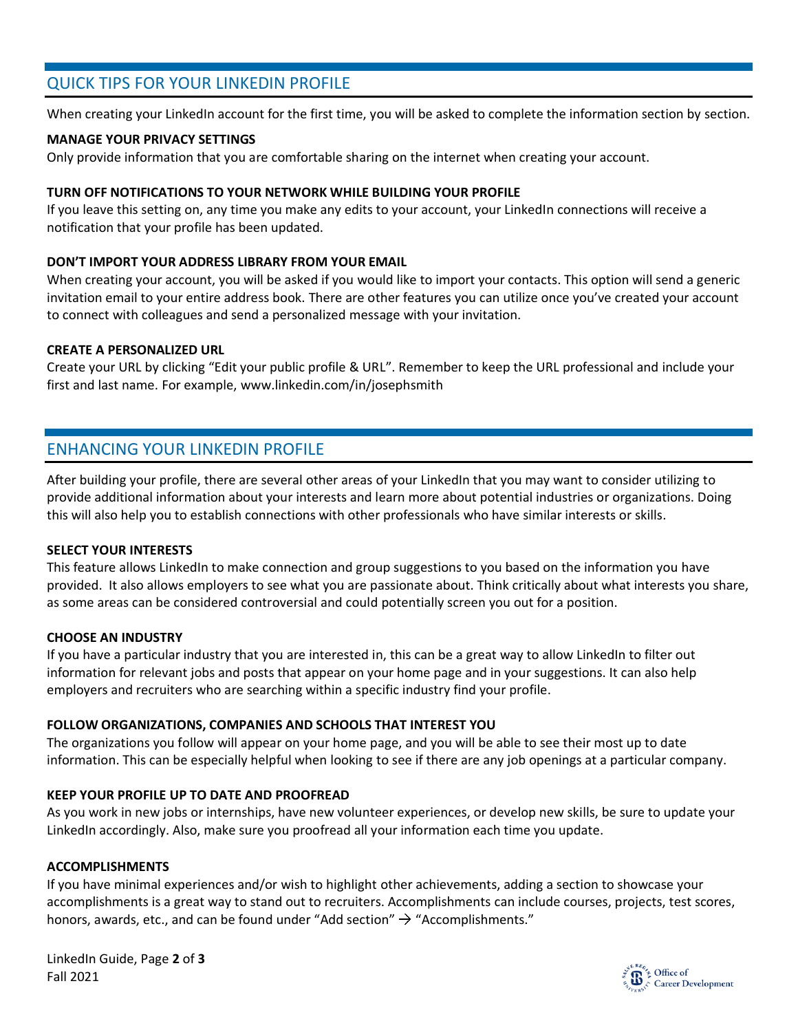### QUICK TIPS FOR YOUR LINKEDIN PROFILE

When creating your LinkedIn account for the first time, you will be asked to complete the information section by section.

### **MANAGE YOUR PRIVACY SETTINGS**

Only provide information that you are comfortable sharing on the internet when creating your account.

### **TURN OFF NOTIFICATIONS TO YOUR NETWORK WHILE BUILDING YOUR PROFILE**

If you leave this setting on, any time you make any edits to your account, your LinkedIn connections will receive a notification that your profile has been updated.

### **DON'T IMPORT YOUR ADDRESS LIBRARY FROM YOUR EMAIL**

When creating your account, you will be asked if you would like to import your contacts. This option will send a generic invitation email to your entire address book. There are other features you can utilize once you've created your account to connect with colleagues and send a personalized message with your invitation.

### **CREATE A PERSONALIZED URL**

Create your URL by clicking "Edit your public profile & URL". Remember to keep the URL professional and include your first and last name. For example, www.linkedin.com/in/josephsmith

### ENHANCING YOUR LINKEDIN PROFILE

After building your profile, there are several other areas of your LinkedIn that you may want to consider utilizing to provide additional information about your interests and learn more about potential industries or organizations. Doing this will also help you to establish connections with other professionals who have similar interests or skills.

### **SELECT YOUR INTERESTS**

This feature allows LinkedIn to make connection and group suggestions to you based on the information you have provided. It also allows employers to see what you are passionate about. Think critically about what interests you share, as some areas can be considered controversial and could potentially screen you out for a position.

#### **CHOOSE AN INDUSTRY**

If you have a particular industry that you are interested in, this can be a great way to allow LinkedIn to filter out information for relevant jobs and posts that appear on your home page and in your suggestions. It can also help employers and recruiters who are searching within a specific industry find your profile.

### **FOLLOW ORGANIZATIONS, COMPANIES AND SCHOOLS THAT INTEREST YOU**

The organizations you follow will appear on your home page, and you will be able to see their most up to date information. This can be especially helpful when looking to see if there are any job openings at a particular company.

### **KEEP YOUR PROFILE UP TO DATE AND PROOFREAD**

As you work in new jobs or internships, have new volunteer experiences, or develop new skills, be sure to update your LinkedIn accordingly. Also, make sure you proofread all your information each time you update.

#### **ACCOMPLISHMENTS**

If you have minimal experiences and/or wish to highlight other achievements, adding a section to showcase your accomplishments is a great way to stand out to recruiters. Accomplishments can include courses, projects, test scores, honors, awards, etc., and can be found under "Add section"  $\rightarrow$  "Accomplishments."

LinkedIn Guide, Page **2** of **3** Fall 2021